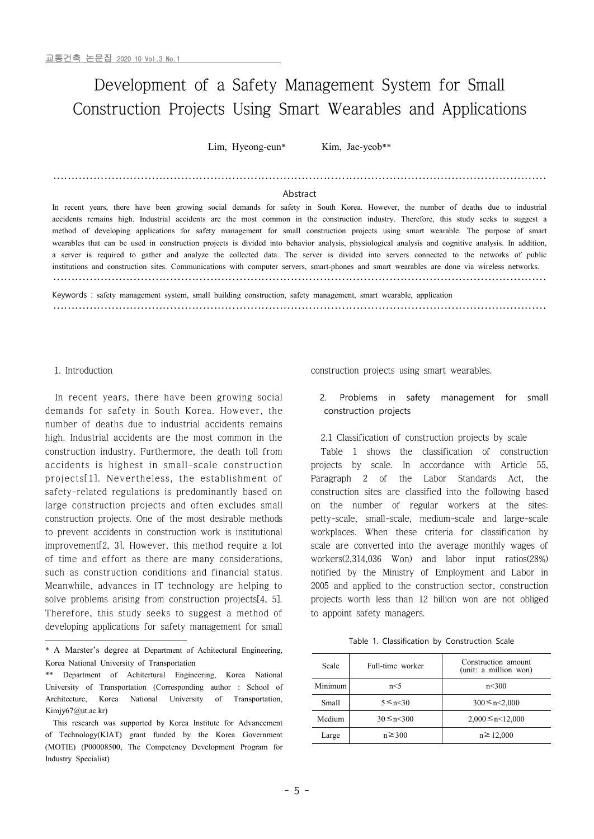# Development of a Safety Management System for Small Construction Projects Using Smart Wearables and Applications

Lim, Hyeong-eun\* Kim, Jae-yeob\*\*

## ……………………………………………………………………………………………………………………… Abstract

In recent years, there have been growing social demands for safety in South Korea. However, the number of deaths due to industrial accidents remains high. Industrial accidents are the most common in the construction industry. Therefore, this study seeks to suggest a method of developing applications for safety management for small construction project wearables that can be used in construction projects is divided into behavior analysis, physiological analysis and cognitive analysis. In addition, a server is required to gather and analyze the collected data. The server i institutions and construction sites. Communications with computer servers, smart-phones and smart wearables are done via wireless networks. ………………………………………………………………………………………………………………………

Keywords : safety management system, small building construction, safety management, smart wearable, application ………………………………………………………………………………………………………………………

#### 1. Introduction

In recent years, there have been growing social demands for safety in South Korea. However, the number of deaths due to industrial accidents remains high. Industrial accidents are the most common in the construction industry. Furthermore, the death toll from demands for safety in South Korea. However, the<br>
number of deaths due to industrial accidents remains<br>
high. Industrial accidents are the most common in the<br>
construction industry. Furthermore, the death toll from Table<br>
a number of deaths due to industrial accidents remains<br>high. Industrial accidents are the most common in the 2.1 Class<br>construction industry. Furthermore, the death toll from Table<br>accidents is highest in small-scale constru safety-related regulations is predominantly based on large construction projects and often excludes small construction projects. One of the most desirable methods to prevent accidents in construction work is institutional improvement[2, 3]. However, this method require a lot of time and effort as there are many considerations, such as construction conditions and financial status. Meanwhile, advances in IT technology are helping to solve problems arising from construction projects[4, 5]. Therefore, this study seeks to suggest a method of developing applications for safety management for small

construction projects using smart wearables.

### Problems in safety management for small construction projects

2.1 Classification of construction projects by scale

Table 1 shows the classification of construction projects by scale. In accordance with Article 55, Paragraph 2 of the Labor Standards Act, the construction sites are classified into the following based on the number of regular workers at the sites: petty-scale, small-scale, medium-scale and large-scale workplaces. When these criteria for classification by scale are converted into the average monthly wages of workers(2,314,036 Won) and labor input ratios(28%) notified by the Ministry of Employment and Labor in 2005 and applied to the construction sector, construction projects worth less than 12 billion won are not obliged to appoint safety managers.

Table 1. Classification by Construction Scale

| Scale        | Full-time worker   | Construction amount<br>(unit: a million won) |
|--------------|--------------------|----------------------------------------------|
| Minimum      | n<5                | n<300                                        |
| <b>Small</b> | 5 ≤ n $\leq$ 0     | $300 \le n \le 2.000$                        |
| Medium       | $30 \le n \le 300$ | $2,000 \le n \le 12,000$                     |
| Large        | $n \geq 300$       | $n \ge 12,000$                               |

<sup>\*</sup> A Marster's degree at Department of Achitectural Engineering, Korea National University of Transportation

<sup>\*\*</sup> Department of Achitertural Engineering, Korea National University of Transportation (Corresponding author : School of Architecture, Korea National University of Transportation, Kimjy67@ut.ac.kr)

This research was supported by Korea Institute for Advancement of Technology(KIAT) grant funded by the Korea Government (MOTIE) (P00008500, The Competency Development Program for Industry Specialist)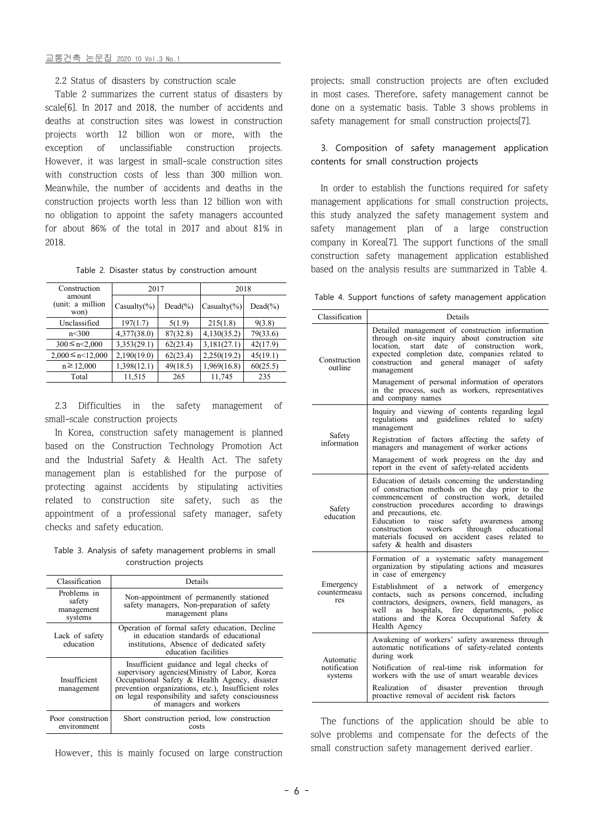2.2 Status of disasters by construction scale

Table 2 summarizes the current status of disasters by scale<sup>[6]</sup>. In 2017 and 2018, the number of accidents and deaths at construction sites was lowest in construction projects worth 12 billion won or more, with the exception of unclassifiable construction projects. However, it was largest in small-scale construction sites with construction costs of less than 300 million won. Meanwhile, the number of accidents and deaths in the construction projects worth less than 12 billion won with no obligation to appoint the safety managers accounted for about 86% of the total in 2017 and about 81% in 2018.

|  |  |  |  | Table 2. Disaster status by construction amount |  |  |
|--|--|--|--|-------------------------------------------------|--|--|
|--|--|--|--|-------------------------------------------------|--|--|

| Construction                       | 2017             |            | 2018             |            |
|------------------------------------|------------------|------------|------------------|------------|
| amount<br>(unit: a million<br>won) | Casualty $(\% )$ | $Dead(\%)$ | Casualty $(\% )$ | $Dead(\%)$ |
| Unclassified                       | 197(1.7)         | 5(1.9)     | 215(1.8)         | 9(3.8)     |
| n<300                              | 4,377(38.0)      | 87(32.8)   | 4,130(35.2)      | 79(33.6)   |
| $300 \le n \le 2,000$              | 3,353(29.1)      | 62(23.4)   | 3,181(27.1)      | 42(17.9)   |
| $2,000 \le n \le 12,000$           | 2,190(19.0)      | 62(23.4)   | 2,250(19.2)      | 45(19.1)   |
| $n \ge 12,000$                     | 1,398(12.1)      | 49(18.5)   | 1,969(16.8)      | 60(25.5)   |
| Total                              | 11,515           | 265        | 11,745           | 235        |

2.3 Difficulties in the safety management of small-scale construction projects

In Korea, construction safety management is planned based on the Construction Technology Promotion Act and the Industrial Safety & Health Act. The safety management plan is established for the purpose of protecting against accidents by stipulating activities related to construction site safety, such as the appointment of a professional safety manager, safety checks and safety education.

Table 3. Analysis of safety management problems in small construction projects

| Classification                                 | Details                                                                                                                                                                                                                                                                            |  |
|------------------------------------------------|------------------------------------------------------------------------------------------------------------------------------------------------------------------------------------------------------------------------------------------------------------------------------------|--|
| Problems in<br>safety<br>management<br>systems | Non-appointment of permanently stationed<br>safety managers, Non-preparation of safety<br>management plans                                                                                                                                                                         |  |
| Lack of safety<br>education                    | Operation of formal safety education. Decline<br>in education standards of educational<br>institutions, Absence of dedicated safety<br>education facilities                                                                                                                        |  |
| Insufficient<br>management                     | Insufficient guidance and legal checks of<br>supervisory agencies (Ministry of Labor, Korea<br>Occupational Safety & Health Agency, disaster<br>prevention organizations, etc.), Insufficient roles<br>on legal responsibility and safety consciousness<br>of managers and workers |  |
| Poor construction<br>environment               | Short construction period, low construction<br>costs                                                                                                                                                                                                                               |  |

However, this is mainly focused on large construction

projects; small construction projects are often excluded in most cases. Therefore, safety management cannot be done on a systematic basis. Table 3 shows problems in safety management for small construction projects[7].

# 3. Composition of safety management application contents for small construction projects

In order to establish the functions required for safety management applications for small construction projects, this study analyzed the safety management system and safety management plan of a large construction company in Korea[7]. The support functions of the small construction safety management application established based on the analysis results are summarized in Table 4.

Table 4. Support functions of safety management application

| Classification                       | Details                                                                                                                                                                                                                                                                                                                                                                                                               |  |  |
|--------------------------------------|-----------------------------------------------------------------------------------------------------------------------------------------------------------------------------------------------------------------------------------------------------------------------------------------------------------------------------------------------------------------------------------------------------------------------|--|--|
| Construction<br>outline              | Detailed management of construction information<br>through on-site inquiry about construction site<br>start date of construction<br>location,<br>work,<br>expected completion date, companies related to<br>construction and general manager<br>of safety<br>management                                                                                                                                               |  |  |
|                                      | Management of personal information of operators<br>in the process, such as workers, representatives<br>and company names                                                                                                                                                                                                                                                                                              |  |  |
| Safety<br>information                | Inquiry and viewing of contents regarding legal<br>regulations and guidelines related to safety<br>management                                                                                                                                                                                                                                                                                                         |  |  |
|                                      | Registration of factors affecting the safety of<br>managers and management of worker actions                                                                                                                                                                                                                                                                                                                          |  |  |
|                                      | Management of work progress on the day and<br>report in the event of safety-related accidents                                                                                                                                                                                                                                                                                                                         |  |  |
| Safety<br>education                  | Education of details concerning the understanding<br>of construction methods on the day prior to the<br>commencement of construction work, detailed<br>construction procedures according to drawings<br>and precautions, etc.<br>Education to raise safety awareness<br>among<br>workers<br>through<br>construction<br>educational<br>materials focused on accident cases related to<br>safety & health and disasters |  |  |
| Emergency<br>countermeasu<br>res     | Formation of a systematic safety management<br>organization by stipulating actions and measures<br>in case of emergency                                                                                                                                                                                                                                                                                               |  |  |
|                                      | Establishment of a network of emergency<br>contacts, such as persons concerned, including<br>contractors, designers, owners, field managers, as<br>well as hospitals, fire departments, police<br>stations and the Korea Occupational Safety &<br>Health Agency                                                                                                                                                       |  |  |
| Automatic<br>notification<br>systems | Awakening of workers' safety awareness through<br>automatic notifications of safety-related contents<br>during work                                                                                                                                                                                                                                                                                                   |  |  |
|                                      | Notification of real-time risk information for<br>workers with the use of smart wearable devices                                                                                                                                                                                                                                                                                                                      |  |  |
|                                      | Realization<br>of disaster prevention<br>through<br>proactive removal of accident risk factors                                                                                                                                                                                                                                                                                                                        |  |  |

The functions of the application should be able to solve problems and compensate for the defects of the small construction safety management derived earlier.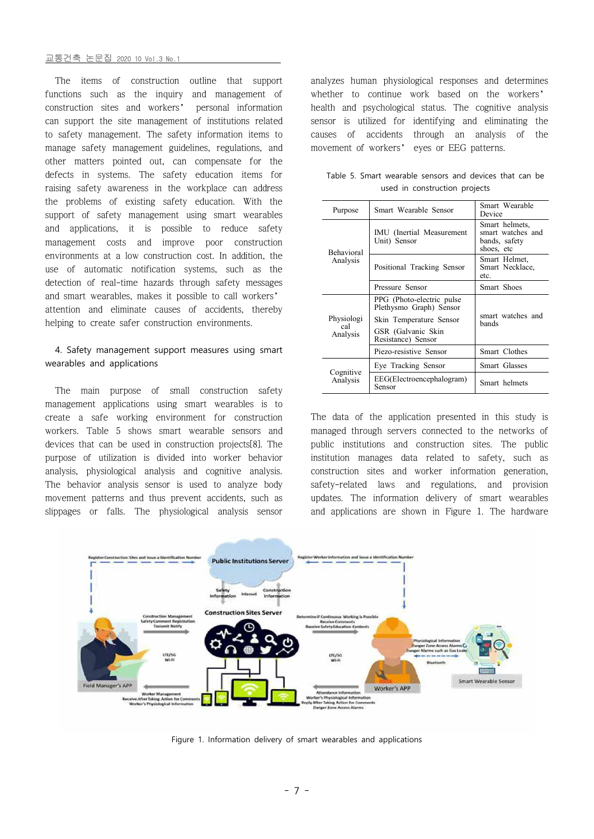#### 교통건축 논문집 2020 10 Vol.3 No.1

The items of construction outline that support functions such as the inquiry and management of construction sites and workers' personal information can support the site management of institutions related to safety management. The safety information items to manage safety management guidelines, regulations, and other matters pointed out, can compensate for the defects in systems. The safety education items for raising safety awareness in the workplace can address the problems of existing safety education. With the support of safety management using smart wearables and applications, it is possible to reduce safety management costs and improve poor construction environments at a low construction cost. In addition, the use of automatic notification systems, such as the detection of real-time hazards through safety messages and smart wearables, makes it possible to call workers' attention and eliminate causes of accidents, thereby helping to create safer construction environments.

# 4. Safety management support measures using smart wearables and applications

The main purpose of small construction safety management applications using smart wearables is to create a safe working environment for construction workers. Table 5 shows smart wearable sensors and devices that can be used in construction projects[8]. The purpose of utilization is divided into worker behavior analysis, physiological analysis and cognitive analysis. The behavior analysis sensor is used to analyze body movement patterns and thus prevent accidents, such as slippages or falls. The physiological analysis sensor

analyzes human physiological responses and determines whether to continue work based on the workers' health and psychological status. The cognitive analysis sensor is utilized for identifying and eliminating the accidents through an analysis of the movement of workers' eyes or EEG patterns.

| Purpose                       | Smart Wearable Sensor                                                                                 | Smart Wearable<br>Device                                           |  |
|-------------------------------|-------------------------------------------------------------------------------------------------------|--------------------------------------------------------------------|--|
| <b>Behavioral</b><br>Analysis | IMU (Inertial Measurement<br>Unit) Sensor                                                             | Smart helmets,<br>smart watches and<br>bands, safety<br>shoes, etc |  |
|                               | Positional Tracking Sensor                                                                            | Smart Helmet,<br>Smart Necklace,<br>etc.                           |  |
|                               | Pressure Sensor                                                                                       | Smart Shoes                                                        |  |
| Physiologi<br>cal<br>Analysis | PPG (Photo-electric pulse<br>Plethysmo Graph) Sensor<br>Skin Temperature Sensor<br>GSR (Galvanic Skin | smart watches and<br>hands                                         |  |
|                               | Resistance) Sensor                                                                                    |                                                                    |  |
|                               | Piezo-resistive Sensor                                                                                | Smart Clothes                                                      |  |
| Cognitive<br>Analysis         | Eye Tracking Sensor                                                                                   | Smart Glasses                                                      |  |
|                               | EEG(Electroencephalogram)<br>Sensor                                                                   | Smart helmets                                                      |  |

Table 5. Smart wearable sensors and devices that can be used in construction projects

The data of the application presented in this study is managed through servers connected to the networks of public institutions and construction sites. The public institution manages data related to safety, such as construction sites and worker information generation, safety-related laws and regulations, and provision updates. The information delivery of smart wearables and applications are shown in Figure 1. The hardware



Figure 1. Information delivery of smart wearables and applications